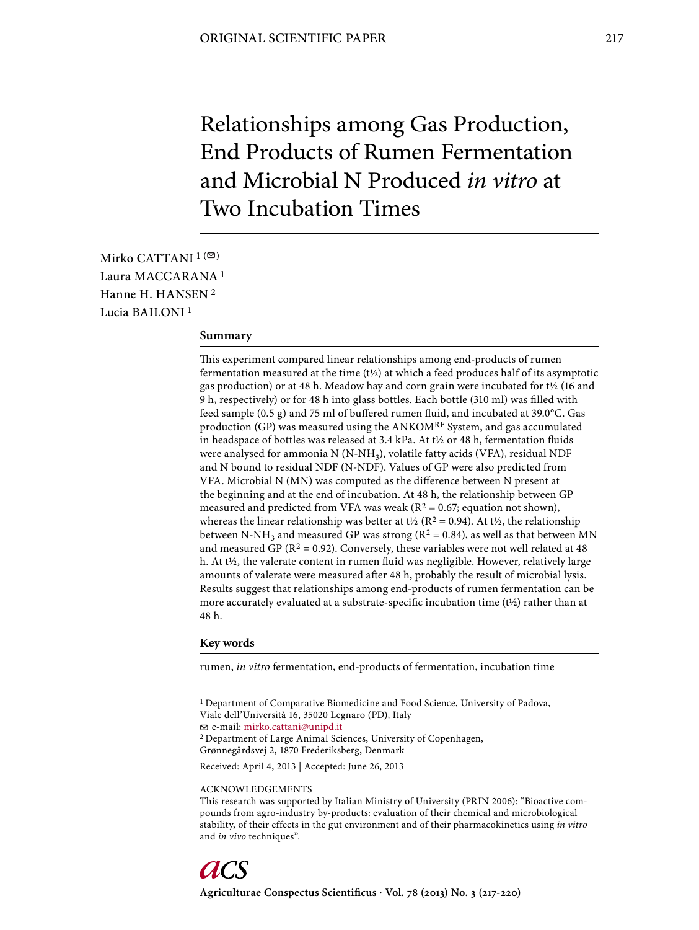# Relationships among Gas Production, End Products of Rumen Fermentation and Microbial N Produced *in vitro* at Two Incubation Times

Mirko CATTANI  $1$ <sup>( $\odot$ )</sup> Laura MACCARANA 1 Hanne H. HANSEN 2 Lucia BAILONI 1

#### **Summary**

This experiment compared linear relationships among end-products of rumen fermentation measured at the time (t½) at which a feed produces half of its asymptotic gas production) or at 48 h. Meadow hay and corn grain were incubated for t½ (16 and 9 h, respectively) or for 48 h into glass bottles. Each bottle (310 ml) was filled with feed sample (0.5 g) and 75 ml of buffered rumen fluid, and incubated at 39.0°C. Gas production (GP) was measured using the ANKOMRF System, and gas accumulated in headspace of bottles was released at 3.4 kPa. At t½ or 48 h, fermentation fluids were analysed for ammonia  $N(N-NH_3)$ , volatile fatty acids (VFA), residual NDF and N bound to residual NDF (N-NDF). Values of GP were also predicted from VFA. Microbial N (MN) was computed as the difference between N present at the beginning and at the end of incubation. At 48 h, the relationship between GP measured and predicted from VFA was weak ( $R^2 = 0.67$ ; equation not shown), whereas the linear relationship was better at t<sup>1</sup>/<sub>2</sub> (R<sup>2</sup> = 0.94). At t<sup>1</sup>/<sub>2</sub>, the relationship between N-NH<sub>3</sub> and measured GP was strong ( $R^2 = 0.84$ ), as well as that between MN and measured GP ( $R^2 = 0.92$ ). Conversely, these variables were not well related at 48 h. At t1/2, the valerate content in rumen fluid was negligible. However, relatively large amounts of valerate were measured after 48 h, probably the result of microbial lysis. Results suggest that relationships among end-products of rumen fermentation can be more accurately evaluated at a substrate-specific incubation time ( $t\frac{1}{2}$ ) rather than at 48 h.

### **Key words**

rumen, *in vitro* fermentation, end-products of fermentation, incubation time

<sup>1</sup> Department of Comparative Biomedicine and Food Science, University of Padova, Viale dell'Università 16, 35020 Legnaro (PD), Italy e-mail: mirko.cattani@unipd.it 2 Department of Large Animal Sciences, University of Copenhagen, Grønnegårdsvej 2, 1870 Frederiksberg, Denmark Received: April 4, 2013 | Accepted: June 26, 2013 ACKNOWLEDGEMENTS

This research was supported by Italian Ministry of University (PRIN 2006): "Bioactive compounds from agro-industry by-products: evaluation of their chemical and microbiological stability, of their effects in the gut environment and of their pharmacokinetics using *in vitro* and *in vivo* techniques".

Agriculturae Conspectus Scientificus · Vol. 78 (2013) No. 3 (217-220)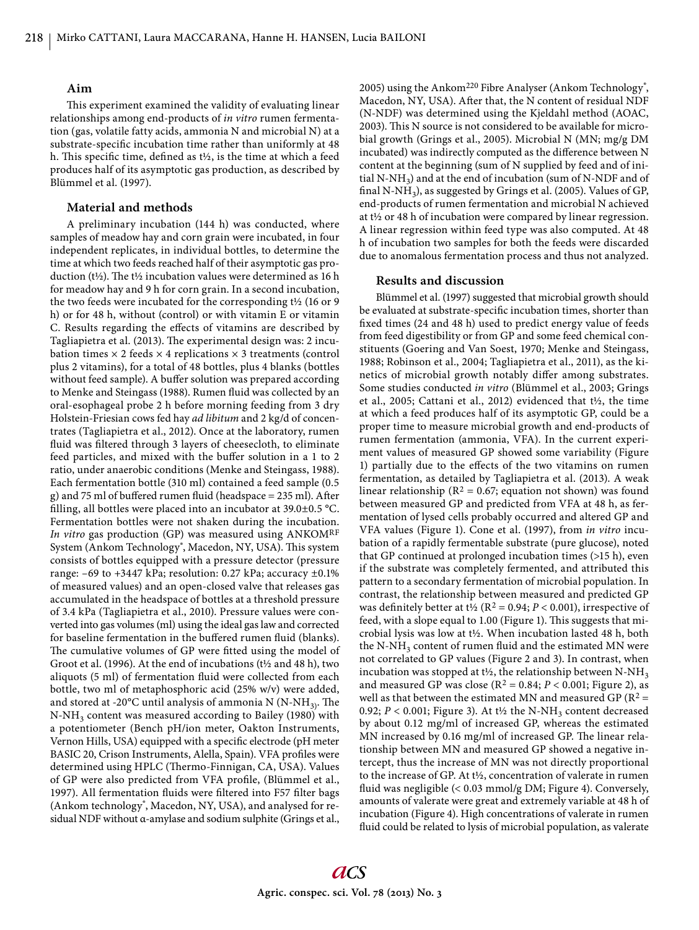## **Aim**

This experiment examined the validity of evaluating linear relationships among end-products of *in vitro* rumen fermentation (gas, volatile fatty acids, ammonia N and microbial N) at a substrate-specific incubation time rather than uniformly at 48 h. This specific time, defined as  $t\frac{1}{2}$ , is the time at which a feed produces half of its asymptotic gas production, as described by Blümmel et al. (1997).

# **Material and methods**

A preliminary incubation (144 h) was conducted, where samples of meadow hay and corn grain were incubated, in four independent replicates, in individual bottles, to determine the time at which two feeds reached half of their asymptotic gas production (t½). The t½ incubation values were determined as 16 h for meadow hay and 9 h for corn grain. In a second incubation, the two feeds were incubated for the corresponding t½ (16 or 9 h) or for 48 h, without (control) or with vitamin E or vitamin C. Results regarding the effects of vitamins are described by Tagliapietra et al. (2013). The experimental design was: 2 incubation times  $\times$  2 feeds  $\times$  4 replications  $\times$  3 treatments (control plus 2 vitamins), for a total of 48 bottles, plus 4 blanks (bottles without feed sample). A buffer solution was prepared according to Menke and Steingass (1988). Rumen fluid was collected by an oral-esophageal probe 2 h before morning feeding from 3 dry Holstein-Friesian cows fed hay *ad libitum* and 2 kg/d of concentrates (Tagliapietra et al., 2012). Once at the laboratory, rumen fluid was filtered through 3 layers of cheesecloth, to eliminate feed particles, and mixed with the buffer solution in a 1 to 2 ratio, under anaerobic conditions (Menke and Steingass, 1988). Each fermentation bottle (310 ml) contained a feed sample (0.5 g) and 75 ml of buffered rumen fluid (headspace  $= 235$  ml). After filling, all bottles were placed into an incubator at  $39.0\pm0.5$  °C. Fermentation bottles were not shaken during the incubation. *In vitro* gas production (GP) was measured using ANKOMRF System (Ankom Technology<sup>®</sup>, Macedon, NY, USA). This system consists of bottles equipped with a pressure detector (pressure range: –69 to +3447 kPa; resolution: 0.27 kPa; accuracy ±0.1% of measured values) and an open-closed valve that releases gas accumulated in the headspace of bottles at a threshold pressure of 3.4 kPa (Tagliapietra et al., 2010). Pressure values were converted into gas volumes (ml) using the ideal gas law and corrected for baseline fermentation in the buffered rumen fluid (blanks). The cumulative volumes of GP were fitted using the model of Groot et al. (1996). At the end of incubations (t½ and 48 h), two aliquots (5 ml) of fermentation fluid were collected from each bottle, two ml of metaphosphoric acid (25% w/v) were added, and stored at -20 $^{\circ}$ C until analysis of ammonia N (N-NH<sub>3)</sub>. The N-NH3 content was measured according to Bailey (1980) with a potentiometer (Bench pH/ion meter, Oakton Instruments, Vernon Hills, USA) equipped with a specific electrode (pH meter BASIC 20, Crison Instruments, Alella, Spain). VFA profiles were determined using HPLC (Thermo-Finnigan, CA, USA). Values of GP were also predicted from VFA profile, (Blümmel et al., 1997). All fermentation fluids were filtered into F57 filter bags (Ankom technology<sup>®</sup>, Macedon, NY, USA), and analysed for residual NDF without α-amylase and sodium sulphite (Grings et al.,

2005) using the Ankom<sup>220</sup> Fibre Analyser (Ankom Technology<sup>®</sup>, Macedon, NY, USA). After that, the N content of residual NDF (N-NDF) was determined using the Kjeldahl method (AOAC, 2003). This N source is not considered to be available for microbial growth (Grings et al., 2005). Microbial N (MN; mg/g DM incubated) was indirectly computed as the difference between N content at the beginning (sum of N supplied by feed and of initial N-NH<sub>3</sub>) and at the end of incubation (sum of N-NDF and of final N-NH<sub>3</sub>), as suggested by Grings et al. (2005). Values of GP, end-products of rumen fermentation and microbial N achieved at t½ or 48 h of incubation were compared by linear regression. A linear regression within feed type was also computed. At 48 h of incubation two samples for both the feeds were discarded due to anomalous fermentation process and thus not analyzed.

## **Results and discussion**

Blümmel et al. (1997) suggested that microbial growth should be evaluated at substrate-specific incubation times, shorter than fixed times (24 and 48 h) used to predict energy value of feeds from feed digestibility or from GP and some feed chemical constituents (Goering and Van Soest, 1970; Menke and Steingass, 1988; Robinson et al., 2004; Tagliapietra et al., 2011), as the kinetics of microbial growth notably differ among substrates. Some studies conducted *in vitro* (Blümmel et al., 2003; Grings et al., 2005; Cattani et al., 2012) evidenced that t½, the time at which a feed produces half of its asymptotic GP, could be a proper time to measure microbial growth and end-products of rumen fermentation (ammonia, VFA). In the current experiment values of measured GP showed some variability (Figure 1) partially due to the effects of the two vitamins on rumen fermentation, as detailed by Tagliapietra et al. (2013). A weak linear relationship ( $R^2 = 0.67$ ; equation not shown) was found between measured GP and predicted from VFA at 48 h, as fermentation of lysed cells probably occurred and altered GP and VFA values (Figure 1). Cone et al. (1997), from *in vitro* incubation of a rapidly fermentable substrate (pure glucose), noted that GP continued at prolonged incubation times (>15 h), even if the substrate was completely fermented, and attributed this pattern to a secondary fermentation of microbial population. In contrast, the relationship between measured and predicted GP was definitely better at t<sup> $1/2$ </sup> ( $R^2 = 0.94$ ;  $P < 0.001$ ), irrespective of feed, with a slope equal to 1.00 (Figure 1). This suggests that microbial lysis was low at t½. When incubation lasted 48 h, both the N-NH<sub>3</sub> content of rumen fluid and the estimated MN were not correlated to GP values (Figure 2 and 3). In contrast, when incubation was stopped at t<sup>1</sup>/<sub>2</sub>, the relationship between N-NH<sub>3</sub> and measured GP was close ( $R^2 = 0.84$ ;  $P < 0.001$ ; Figure 2), as well as that between the estimated MN and measured GP ( $R^2$  = 0.92;  $P < 0.001$ ; Figure 3). At t<sup>1</sup>/<sub>2</sub> the N-NH<sub>3</sub> content decreased by about 0.12 mg/ml of increased GP, whereas the estimated MN increased by 0.16 mg/ml of increased GP. The linear relationship between MN and measured GP showed a negative intercept, thus the increase of MN was not directly proportional to the increase of GP. At t½, concentration of valerate in rumen fluid was negligible  $(< 0.03$  mmol/g DM; Figure 4). Conversely, amounts of valerate were great and extremely variable at 48 h of incubation (Figure 4). High concentrations of valerate in rumen fluid could be related to lysis of microbial population, as valerate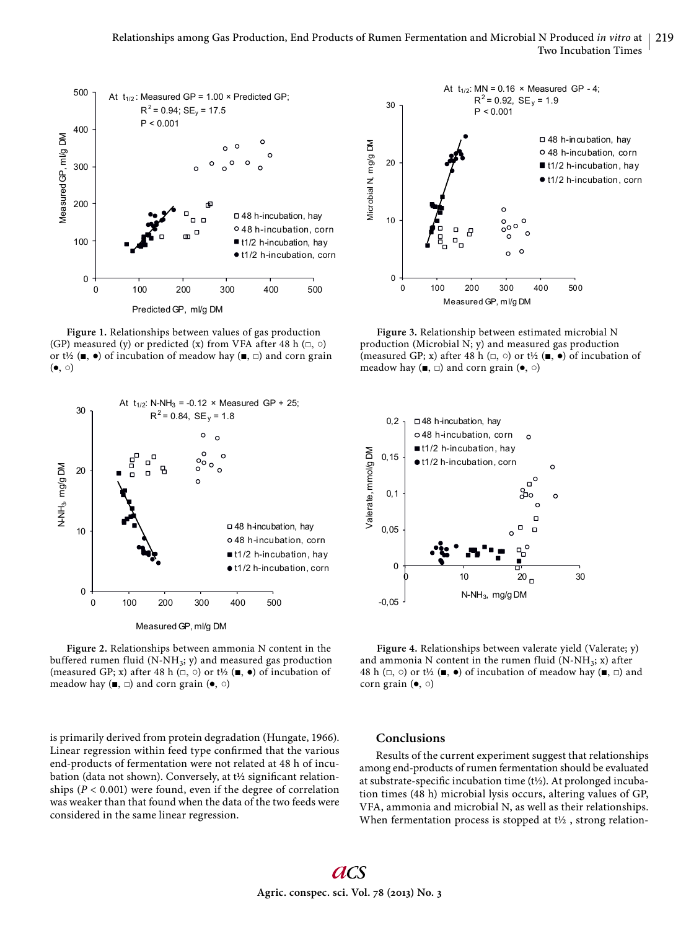

**Figure 1.** Relationships between values of gas production (GP) measured (y) or predicted (x) from VFA after 48 h  $(\square, \square)$ or t½ ( $\blacksquare$ ,  $\bullet$ ) of incubation of meadow hay ( $\blacksquare$ ,  $\square$ ) and corn grain  $(\bullet, \circ)$ 



**Figure 2.** Relationships between ammonia N content in the buffered rumen fluid (N-NH<sub>3</sub>; y) and measured gas production (measured GP; x) after 48 h  $(\square, \square)$  or t½ ( $\blacksquare$ ,  $\bullet$ ) of incubation of meadow hay ( $\blacksquare$ ,  $\square$ ) and corn grain ( $\blacklozenge$ ,  $\odot$ )

is primarily derived from protein degradation (Hungate, 1966). Linear regression within feed type confirmed that the various end-products of fermentation were not related at 48 h of incubation (data not shown). Conversely, at  $t\frac{1}{2}$  significant relationships  $(P < 0.001)$  were found, even if the degree of correlation was weaker than that found when the data of the two feeds were considered in the same linear regression.



**Figure 3.** Relationship between estimated microbial N production (Microbial N; y) and measured gas production (measured GP; x) after 48 h  $(\square, \square)$  or t½ ( $\blacksquare$ ,  $\bullet$ ) of incubation of meadow hay ( $\blacksquare$ ,  $\square$ ) and corn grain ( $\lozenge$ ,  $\odot$ )



Figure 4. Relationships between valerate yield (Valerate; y) and ammonia N content in the rumen fluid  $(N-NH_3; x)$  after 48 h ( $\Box$ ,  $\odot$ ) or t½ ( $\blacksquare$ ,  $\bullet$ ) of incubation of meadow hay ( $\blacksquare$ ,  $\Box$ ) and corn grain (●, ○)

## **Conclusions**

Results of the current experiment suggest that relationships among end-products of rumen fermentation should be evaluated at substrate-specific incubation time ( $t\frac{1}{2}$ ). At prolonged incubation times (48 h) microbial lysis occurs, altering values of GP, VFA, ammonia and microbial N, as well as their relationships. When fermentation process is stopped at t<sup>1</sup>/<sub>2</sub>, strong relation